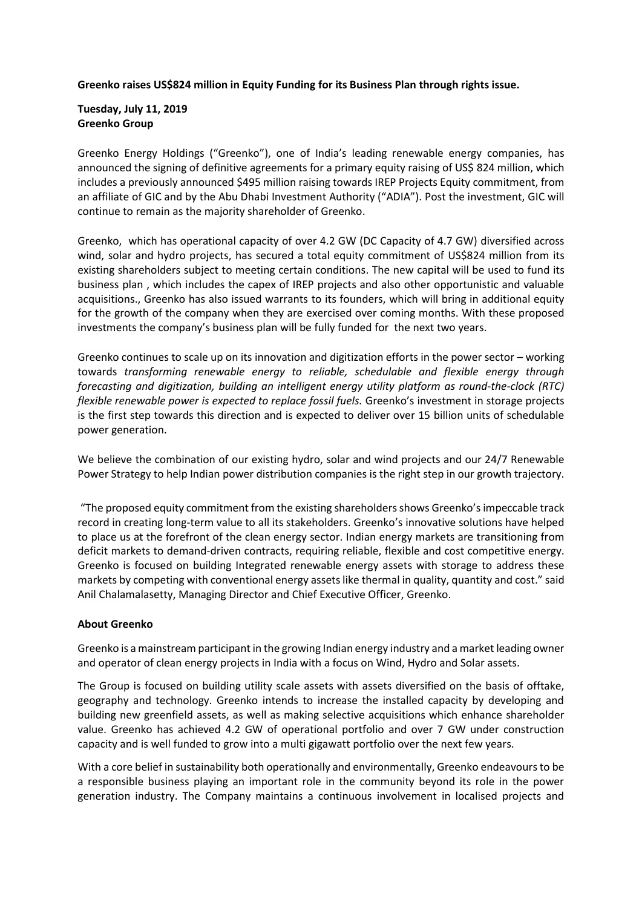**Greenko raises US\$824 million in Equity Funding for its Business Plan through rights issue.**

## **Tuesday, July 11, 2019 Greenko Group**

Greenko Energy Holdings ("Greenko"), one of India's leading renewable energy companies, has announced the signing of definitive agreements for a primary equity raising of US\$ 824 million, which includes a previously announced \$495 million raising towards IREP Projects Equity commitment, from an affiliate of GIC and by the Abu Dhabi Investment Authority ("ADIA"). Post the investment, GIC will continue to remain as the majority shareholder of Greenko.

Greenko, which has operational capacity of over 4.2 GW (DC Capacity of 4.7 GW) diversified across wind, solar and hydro projects, has secured a total equity commitment of US\$824 million from its existing shareholders subject to meeting certain conditions. The new capital will be used to fund its business plan , which includes the capex of IREP projects and also other opportunistic and valuable acquisitions., Greenko has also issued warrants to its founders, which will bring in additional equity for the growth of the company when they are exercised over coming months. With these proposed investments the company's business plan will be fully funded for the next two years.

Greenko continues to scale up on its innovation and digitization efforts in the power sector – working towards *transforming renewable energy to reliable, schedulable and flexible energy through forecasting and digitization, building an intelligent energy utility platform as round-the-clock (RTC) flexible renewable power is expected to replace fossil fuels.* Greenko's investment in storage projects is the first step towards this direction and is expected to deliver over 15 billion units of schedulable power generation.

We believe the combination of our existing hydro, solar and wind projects and our 24/7 Renewable Power Strategy to help Indian power distribution companies is the right step in our growth trajectory.

"The proposed equity commitment from the existing shareholders shows Greenko's impeccable track record in creating long-term value to all its stakeholders. Greenko's innovative solutions have helped to place us at the forefront of the clean energy sector. Indian energy markets are transitioning from deficit markets to demand-driven contracts, requiring reliable, flexible and cost competitive energy. Greenko is focused on building Integrated renewable energy assets with storage to address these markets by competing with conventional energy assets like thermal in quality, quantity and cost." said Anil Chalamalasetty, Managing Director and Chief Executive Officer, Greenko.

## **About Greenko**

Greenko is a mainstream participant in the growing Indian energy industry and a market leading owner and operator of clean energy projects in India with a focus on Wind, Hydro and Solar assets.

The Group is focused on building utility scale assets with assets diversified on the basis of offtake, geography and technology. Greenko intends to increase the installed capacity by developing and building new greenfield assets, as well as making selective acquisitions which enhance shareholder value. Greenko has achieved 4.2 GW of operational portfolio and over 7 GW under construction capacity and is well funded to grow into a multi gigawatt portfolio over the next few years.

With a core belief in sustainability both operationally and environmentally, Greenko endeavours to be a responsible business playing an important role in the community beyond its role in the power generation industry. The Company maintains a continuous involvement in localised projects and